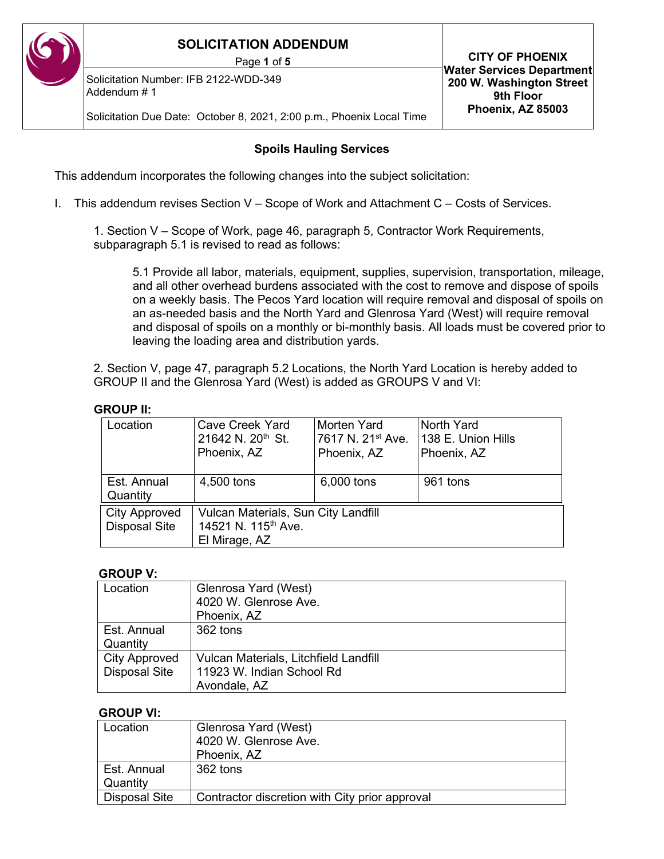Solicitation Number: IFB 2122-WDD-349 Addendum # 1

Solicitation Due Date: October 8, 2021, 2:00 p.m., Phoenix Local Time

#### **Spoils Hauling Services**

This addendum incorporates the following changes into the subject solicitation:

I. This addendum revises Section V – Scope of Work and Attachment C – Costs of Services.

1. Section V – Scope of Work, page 46, paragraph 5, Contractor Work Requirements, subparagraph 5.1 is revised to read as follows:

5.1 Provide all labor, materials, equipment, supplies, supervision, transportation, mileage, and all other overhead burdens associated with the cost to remove and dispose of spoils on a weekly basis. The Pecos Yard location will require removal and disposal of spoils on an as-needed basis and the North Yard and Glenrosa Yard (West) will require removal and disposal of spoils on a monthly or bi-monthly basis. All loads must be covered prior to leaving the loading area and distribution yards.

2. Section V, page 47, paragraph 5.2 Locations, the North Yard Location is hereby added to GROUP II and the Glenrosa Yard (West) is added as GROUPS V and VI:

#### **GROUP II:**

| <b>Cave Creek Yard</b><br>21642 N. 20 <sup>th</sup> St.<br>Phoenix, AZ | Morten Yard<br>7617 N. 21 <sup>st</sup> Ave.<br>Phoenix, AZ | North Yard<br>138 E. Union Hills<br>Phoenix, AZ |  |
|------------------------------------------------------------------------|-------------------------------------------------------------|-------------------------------------------------|--|
| 4,500 tons                                                             | 6,000 tons                                                  | 961 tons                                        |  |
| Vulcan Materials, Sun City Landfill<br>14521 N. 115 <sup>th</sup> Ave. |                                                             |                                                 |  |
|                                                                        | El Mirage, AZ                                               |                                                 |  |

#### **GROUP V:**

| Location             | Glenrosa Yard (West)                  |
|----------------------|---------------------------------------|
|                      | 4020 W. Glenrose Ave.                 |
|                      | Phoenix, AZ                           |
| Est. Annual          | 362 tons                              |
| Quantity             |                                       |
| <b>City Approved</b> | Vulcan Materials, Litchfield Landfill |
| <b>Disposal Site</b> | 11923 W. Indian School Rd             |
|                      | Avondale, AZ                          |

#### **GROUP VI:**

| Location             | Glenrosa Yard (West)                           |
|----------------------|------------------------------------------------|
|                      | 4020 W. Glenrose Ave.                          |
|                      | Phoenix, AZ                                    |
| Est. Annual          | 362 tons                                       |
| Quantity             |                                                |
| <b>Disposal Site</b> | Contractor discretion with City prior approval |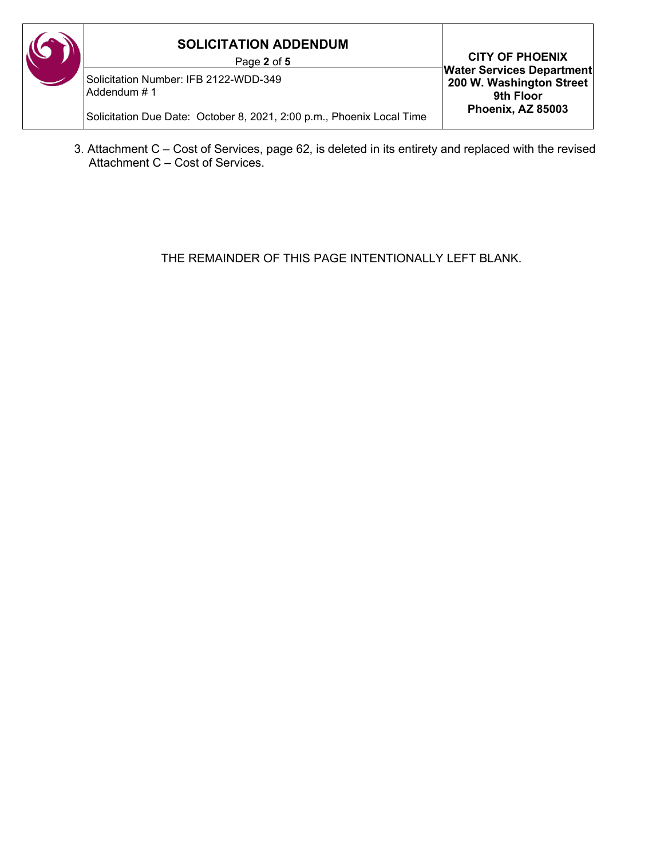#### **SOLICITATION ADDENDUM** Page **2** of **5 CITY OF PHOENIX Water Services Department 200 W. Washington Street 9th Floor Phoenix, AZ 85003** Solicitation Number: IFB 2122-WDD-349 Addendum # 1 Solicitation Due Date: October 8, 2021, 2:00 p.m., Phoenix Local Time

3. Attachment C – Cost of Services, page 62, is deleted in its entirety and replaced with the revised Attachment C – Cost of Services.

THE REMAINDER OF THIS PAGE INTENTIONALLY LEFT BLANK.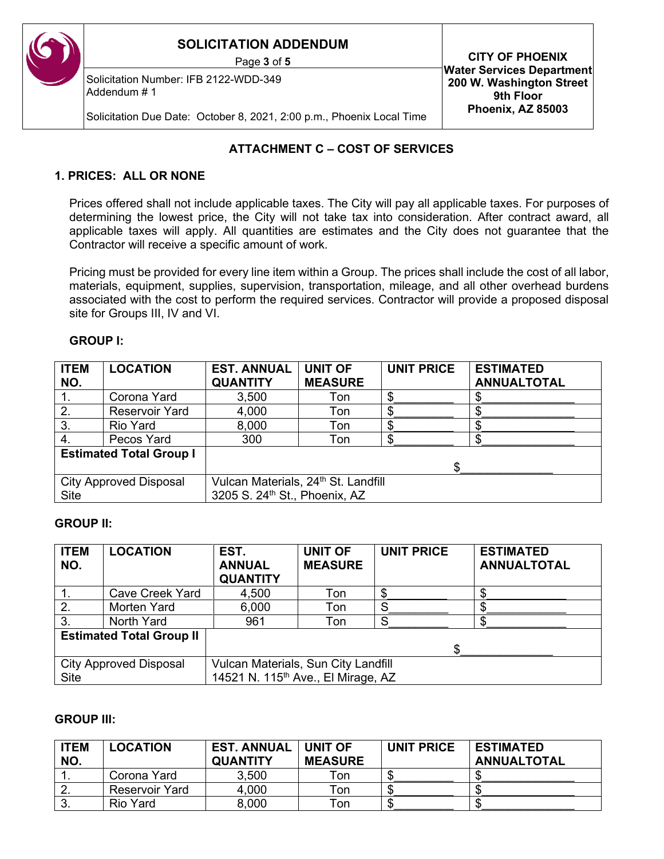Solicitation Number: IFB 2122-WDD-349 Addendum # 1

Page **<sup>3</sup>** of **<sup>5</sup> CITY OF PHOENIX Water Services Department 200 W. Washington Street 9th Floor Phoenix, AZ 85003**

Solicitation Due Date: October 8, 2021, 2:00 p.m., Phoenix Local Time

## **ATTACHMENT C – COST OF SERVICES**

## **1. PRICES: ALL OR NONE**

Prices offered shall not include applicable taxes. The City will pay all applicable taxes. For purposes of determining the lowest price, the City will not take tax into consideration. After contract award, all applicable taxes will apply. All quantities are estimates and the City does not guarantee that the Contractor will receive a specific amount of work.

Pricing must be provided for every line item within a Group. The prices shall include the cost of all labor, materials, equipment, supplies, supervision, transportation, mileage, and all other overhead burdens associated with the cost to perform the required services. Contractor will provide a proposed disposal site for Groups III, IV and VI.

#### **GROUP I:**

| <b>ITEM</b><br>NO. | <b>LOCATION</b>                | <b>EST. ANNUAL</b><br><b>QUANTITY</b>           | <b>UNIT OF</b><br><b>MEASURE</b> | <b>UNIT PRICE</b> | <b>ESTIMATED</b><br><b>ANNUALTOTAL</b> |
|--------------------|--------------------------------|-------------------------------------------------|----------------------------------|-------------------|----------------------------------------|
|                    | Corona Yard                    | 3,500                                           | Ton                              |                   |                                        |
| 2.                 | <b>Reservoir Yard</b>          | 4,000                                           | Ton                              |                   |                                        |
| 3.                 | <b>Rio Yard</b>                | 8,000                                           | Ton                              |                   |                                        |
| 4.                 | Pecos Yard                     | 300                                             | Ton                              |                   |                                        |
|                    | <b>Estimated Total Group I</b> |                                                 |                                  |                   |                                        |
|                    |                                |                                                 |                                  |                   |                                        |
|                    | <b>City Approved Disposal</b>  | Vulcan Materials, 24 <sup>th</sup> St. Landfill |                                  |                   |                                        |
| <b>Site</b>        |                                | 3205 S. 24 <sup>th</sup> St., Phoenix, AZ       |                                  |                   |                                        |

### **GROUP II:**

| <b>ITEM</b><br>NO. | <b>LOCATION</b>                 | EST.<br><b>ANNUAL</b><br><b>QUANTITY</b>                                              | <b>UNIT OF</b><br><b>MEASURE</b> | <b>UNIT PRICE</b> | <b>ESTIMATED</b><br><b>ANNUALTOTAL</b> |
|--------------------|---------------------------------|---------------------------------------------------------------------------------------|----------------------------------|-------------------|----------------------------------------|
|                    | <b>Cave Creek Yard</b>          | 4,500                                                                                 | Ton                              | \$                |                                        |
| 2.                 | Morten Yard                     | 6,000                                                                                 | Ton                              |                   |                                        |
| 3.                 | North Yard                      | 961                                                                                   | Ton                              | c                 |                                        |
|                    | <b>Estimated Total Group II</b> |                                                                                       |                                  |                   |                                        |
|                    |                                 |                                                                                       |                                  |                   |                                        |
| <b>Site</b>        | <b>City Approved Disposal</b>   | Vulcan Materials, Sun City Landfill<br>14521 N. 115 <sup>th</sup> Ave., El Mirage, AZ |                                  |                   |                                        |

### **GROUP III:**

| <b>ITEM</b> | <b>LOCATION</b>       | <b>EST. ANNUAL</b> | <b>UNIT OF</b> | <b>UNIT PRICE</b> | <b>ESTIMATED</b>   |
|-------------|-----------------------|--------------------|----------------|-------------------|--------------------|
| NO.         |                       | <b>QUANTITY</b>    | <b>MEASURE</b> |                   | <b>ANNUALTOTAL</b> |
|             | Corona Yard           | 3,500              | Ton            | ۰D                |                    |
|             | <b>Reservoir Yard</b> | 4,000              | Ton            |                   |                    |
| v.          | Rio Yard              | 8,000              | Ton            | ۰D                |                    |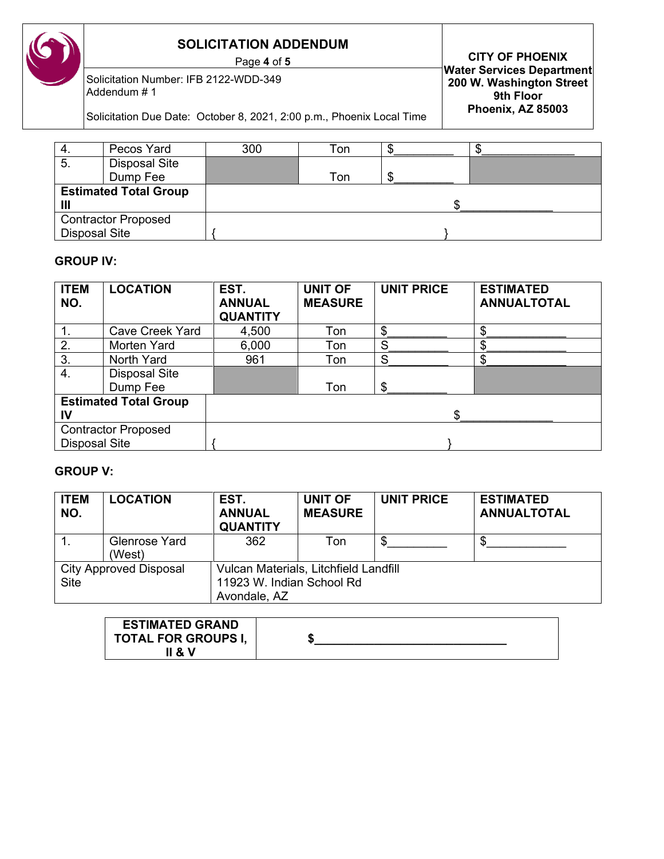Solicitation Number: IFB 2122-WDD-349 Addendum # 1

Page **<sup>4</sup>** of **<sup>5</sup> CITY OF PHOENIX Water Services Department 200 W. Washington Street 9th Floor Phoenix, AZ 85003**

Solicitation Due Date: October 8, 2021, 2:00 p.m., Phoenix Local Time

| 4.            | Pecos Yard                   | 300 | Ton |  |  |
|---------------|------------------------------|-----|-----|--|--|
| 5.            | <b>Disposal Site</b>         |     |     |  |  |
|               | Dump Fee                     |     | Ton |  |  |
|               | <b>Estimated Total Group</b> |     |     |  |  |
|               |                              |     |     |  |  |
|               | <b>Contractor Proposed</b>   |     |     |  |  |
| Disposal Site |                              |     |     |  |  |

## **GROUP IV:**

| <b>ITEM</b><br>NO.   | <b>LOCATION</b>              | EST.<br><b>ANNUAL</b><br><b>QUANTITY</b> | <b>UNIT OF</b><br><b>MEASURE</b> | <b>UNIT PRICE</b> | <b>ESTIMATED</b><br><b>ANNUALTOTAL</b> |
|----------------------|------------------------------|------------------------------------------|----------------------------------|-------------------|----------------------------------------|
| $\mathbf 1$ .        | <b>Cave Creek Yard</b>       | 4,500                                    | Ton                              | \$                | \$                                     |
| 2.                   | Morten Yard                  | 6,000                                    | Ton                              | S                 | Φ<br>æ                                 |
| 3.                   | North Yard                   | 961                                      | Ton                              | S                 | \$                                     |
| 4.                   | <b>Disposal Site</b>         |                                          |                                  |                   |                                        |
|                      | Dump Fee                     |                                          | Ton                              | \$                |                                        |
|                      | <b>Estimated Total Group</b> |                                          |                                  |                   |                                        |
| IV                   |                              |                                          |                                  | \$                |                                        |
|                      | <b>Contractor Proposed</b>   |                                          |                                  |                   |                                        |
| <b>Disposal Site</b> |                              |                                          |                                  |                   |                                        |

## **GROUP V:**

| <b>ITEM</b><br>NO. | <b>LOCATION</b>                | EST.<br><b>ANNUAL</b><br><b>QUANTITY</b>                                           | <b>UNIT OF</b><br><b>MEASURE</b> | <b>UNIT PRICE</b> | <b>ESTIMATED</b><br><b>ANNUALTOTAL</b> |
|--------------------|--------------------------------|------------------------------------------------------------------------------------|----------------------------------|-------------------|----------------------------------------|
|                    | <b>Glenrose Yard</b><br>(West) | 362                                                                                | Ton                              | \$.               | \$.                                    |
| <b>Site</b>        | <b>City Approved Disposal</b>  | Vulcan Materials, Litchfield Landfill<br>11923 W. Indian School Rd<br>Avondale, AZ |                                  |                   |                                        |

| <b>ESTIMATED GRAND</b>     |  |
|----------------------------|--|
| <b>TOTAL FOR GROUPS I,</b> |  |
| 1 & V                      |  |